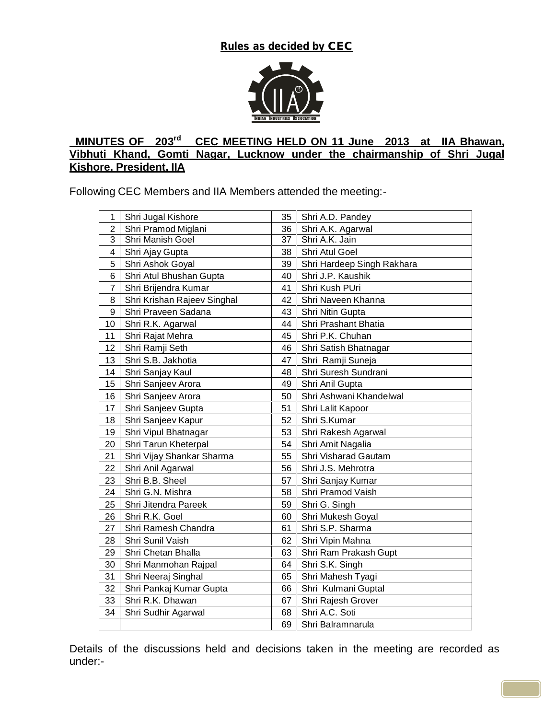*Rules as decided by CEC*



## **MINUTES OF 203 rd CEC MEETING HELD ON 11 June 2013 at IIA Bhawan, Vibhuti Khand, Gomti Nagar, Lucknow under the chairmanship of Shri Jugal Kishore, President, IIA**

Following CEC Members and IIA Members attended the meeting:-

| 1              | Shri Jugal Kishore          | 35 | Shri A.D. Pandey            |
|----------------|-----------------------------|----|-----------------------------|
| 2              | Shri Pramod Miglani         | 36 | Shri A.K. Agarwal           |
| 3              | Shri Manish Goel            | 37 | Shri A.K. Jain              |
| 4              | Shri Ajay Gupta             | 38 | Shri Atul Goel              |
| 5              | Shri Ashok Goyal            | 39 | Shri Hardeep Singh Rakhara  |
| 6              | Shri Atul Bhushan Gupta     | 40 | Shri J.P. Kaushik           |
| $\overline{7}$ | Shri Brijendra Kumar        | 41 | Shri Kush PUri              |
| 8              | Shri Krishan Rajeev Singhal | 42 | Shri Naveen Khanna          |
| 9              | Shri Praveen Sadana         | 43 | Shri Nitin Gupta            |
| 10             | Shri R.K. Agarwal           | 44 | <b>Shri Prashant Bhatia</b> |
| 11             | Shri Rajat Mehra            | 45 | Shri P.K. Chuhan            |
| 12             | Shri Ramji Seth             | 46 | Shri Satish Bhatnagar       |
| 13             | Shri S.B. Jakhotia          | 47 | Shri Ramji Suneja           |
| 14             | Shri Sanjay Kaul            | 48 | Shri Suresh Sundrani        |
| 15             | Shri Sanjeev Arora          | 49 | Shri Anil Gupta             |
| 16             | Shri Sanjeev Arora          | 50 | Shri Ashwani Khandelwal     |
| 17             | Shri Sanjeev Gupta          | 51 | Shri Lalit Kapoor           |
| 18             | Shri Sanjeev Kapur          | 52 | Shri S.Kumar                |
| 19             | Shri Vipul Bhatnagar        | 53 | Shri Rakesh Agarwal         |
| 20             | Shri Tarun Kheterpal        | 54 | Shri Amit Nagalia           |
| 21             | Shri Vijay Shankar Sharma   | 55 | <b>Shri Visharad Gautam</b> |
| 22             | Shri Anil Agarwal           | 56 | Shri J.S. Mehrotra          |
| 23             | Shri B.B. Sheel             | 57 | Shri Sanjay Kumar           |
| 24             | Shri G.N. Mishra            | 58 | Shri Pramod Vaish           |
| 25             | Shri Jitendra Pareek        | 59 | Shri G. Singh               |
| 26             | Shri R.K. Goel              | 60 | Shri Mukesh Goyal           |
| 27             | Shri Ramesh Chandra         | 61 | Shri S.P. Sharma            |
| 28             | Shri Sunil Vaish            | 62 | Shri Vipin Mahna            |
| 29             | Shri Chetan Bhalla          | 63 | Shri Ram Prakash Gupt       |
| 30             | Shri Manmohan Rajpal        | 64 | Shri S.K. Singh             |
| 31             | Shri Neeraj Singhal         | 65 | Shri Mahesh Tyagi           |
| 32             | Shri Pankaj Kumar Gupta     | 66 | Shri Kulmani Guptal         |
| 33             | Shri R.K. Dhawan            | 67 | Shri Rajesh Grover          |
| 34             | Shri Sudhir Agarwal         | 68 | Shri A.C. Soti              |
|                |                             | 69 | Shri Balramnarula           |

Details of the discussions held and decisions taken in the meeting are recorded as under:-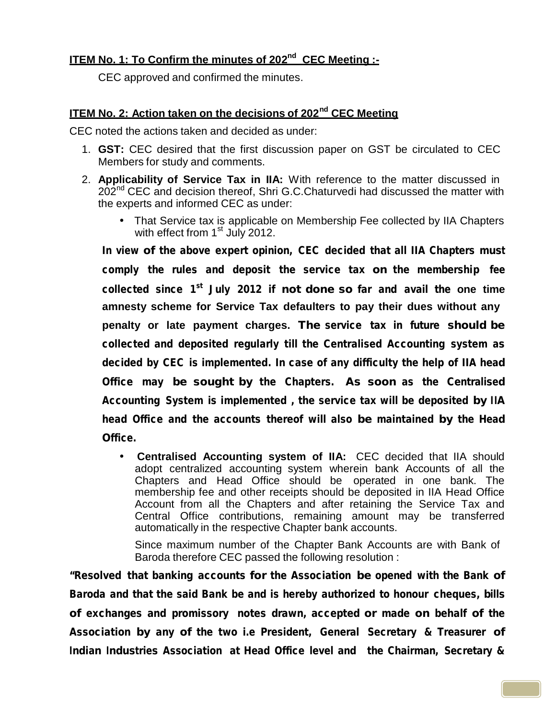# **ITEM No. 1: To Confirm the minutes of 202 nd CEC Meeting :-**

CEC approved and confirmed the minutes.

# **ITEM No. 2: Action taken on the decisions of 202 nd CEC Meeting**

CEC noted the actions taken and decided as under:

- 1. **GST:** CEC desired that the first discussion paper on GST be circulated to CEC Members for study and comments.
- 2. **Applicability of Service Tax in IIA:**With reference to the matter discussed in 202<sup>nd</sup> CEC and decision thereof, Shri G.C.Chaturvedi had discussed the matter with the experts and informed CEC as under:
	- That Service tax is applicable on Membership Fee collected by IIA Chapters with effect from 1<sup>st</sup> July 2012.

*In view of the above expert opinion, CEC decided that all IIA Chapters must comply the rules and deposit the service tax on the membership fee collected since 1 st July 2012 if not done so far and avail the* **one time amnesty scheme for Service Tax defaulters to pay their dues without any penalty or late payment charges.** *The service tax in future should be collected and deposited regularly till the Centralised Accounting system as decided by CEC is implemented. In case of any difficulty the help of IIA head Office may be sought by the Chapters. As soon as the Centralised Accounting System is implemented , the service tax will be deposited by IIA head Office and the accounts thereof will also be maintained by the Head Office.*

 **Centralised Accounting system of IIA:** CEC decided that IIA should adopt centralized accounting system wherein bank Accounts of all the Chapters and Head Office should be operated in one bank. The membership fee and other receipts should be deposited in IIA Head Office Account from all the Chapters and after retaining the Service Tax and Central Office contributions, remaining amount may be transferred automatically in the respective Chapter bank accounts.

Since maximum number of the Chapter Bank Accounts are with Bank of Baroda therefore CEC passed the following resolution :

*"Resolved that banking accounts for the Association be opened with the Bank of Baroda and that the said Bank be and is hereby authorized to honour cheques, bills of exchanges and promissory notes drawn, accepted or made on behalf of the Association by any of the two i.e President, General Secretary & Treasurer of Indian Industries* Association at Head Office level and the Chairman, Secretary &